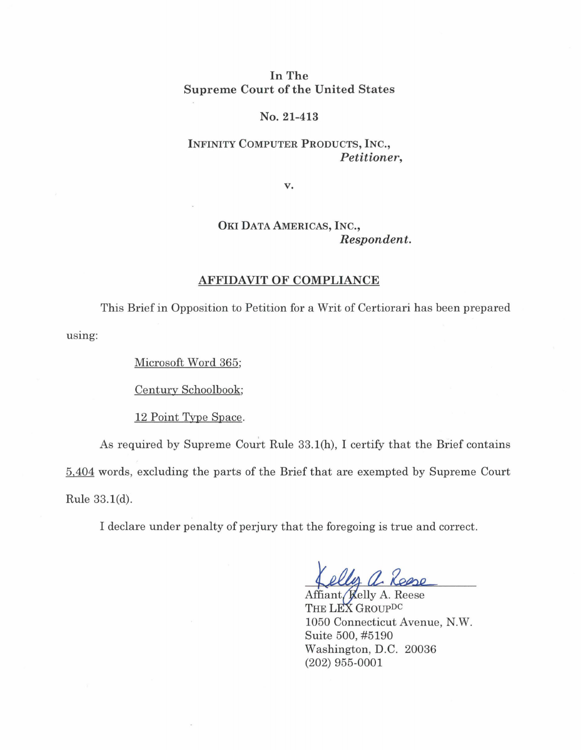## In The Supreme Court of the United States

#### No. 21-413

## **INFINITY COMPUTER PRODUCTS, INC.,**  *Petitioner,*

**v.** 

# **OKI DATA AMERICAS, INC.,**  *Respondent.*

#### **AFFIDAVIT OF COMPLIANCE**

using: This Brief in Opposition to Petition for a Writ of Certiorari has been prepared

Microsoft Word 365;

Century Schoolbook;

12 Point Type Space.

As required by Supreme Court Rule  $33.1(h)$ , I certify that the Brief contains 5,404 words, excluding the parts of the Brief that are exempted by Supreme Court Rule 33.l(d).

I declare under penalty of perjury that the foregoing is true and correct.

Affiant Kelly A. Reese THE LEX GROUPDC 1050 Connecticut Avenue, N.W. Suite 500, #5190 Washington, D.C. 20036 (202) 955-0001